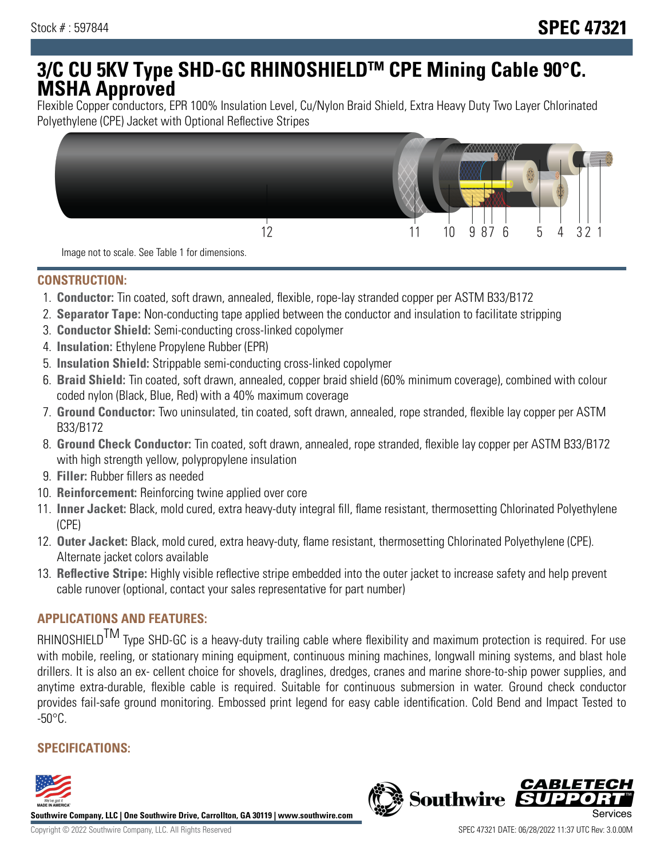# **3/C CU 5KV Type SHD-GC RHINOSHIELDTM CPE Mining Cable 90°C. MSHA Approved**

Flexible Copper conductors, EPR 100% Insulation Level, Cu/Nylon Braid Shield, Extra Heavy Duty Two Layer Chlorinated Polyethylene (CPE) Jacket with Optional Reflective Stripes



Image not to scale. See Table 1 for dimensions.

### **CONSTRUCTION:**

- 1. **Conductor:** Tin coated, soft drawn, annealed, flexible, rope-lay stranded copper per ASTM B33/B172
- 2. **Separator Tape:** Non-conducting tape applied between the conductor and insulation to facilitate stripping
- 3. **Conductor Shield:** Semi-conducting cross-linked copolymer
- 4. **Insulation:** Ethylene Propylene Rubber (EPR)
- 5. **Insulation Shield:** Strippable semi-conducting cross-linked copolymer
- 6. **Braid Shield:** Tin coated, soft drawn, annealed, copper braid shield (60% minimum coverage), combined with colour coded nylon (Black, Blue, Red) with a 40% maximum coverage
- 7. **Ground Conductor:** Two uninsulated, tin coated, soft drawn, annealed, rope stranded, flexible lay copper per ASTM B33/B172
- 8. **Ground Check Conductor:** Tin coated, soft drawn, annealed, rope stranded, flexible lay copper per ASTM B33/B172 with high strength yellow, polypropylene insulation
- 9. **Filler:** Rubber fillers as needed
- 10. **Reinforcement:** Reinforcing twine applied over core
- 11. **Inner Jacket:** Black, mold cured, extra heavy-duty integral fill, flame resistant, thermosetting Chlorinated Polyethylene (CPE)
- 12. **Outer Jacket:** Black, mold cured, extra heavy-duty, flame resistant, thermosetting Chlorinated Polyethylene (CPE). Alternate jacket colors available
- 13. **Reflective Stripe:** Highly visible reflective stripe embedded into the outer jacket to increase safety and help prevent cable runover (optional, contact your sales representative for part number)

## **APPLICATIONS AND FEATURES:**

RHINOSHIELD<sup>TM</sup> Type SHD-GC is a heavy-duty trailing cable where flexibility and maximum protection is required. For use with mobile, reeling, or stationary mining equipment, continuous mining machines, longwall mining systems, and blast hole drillers. It is also an ex- cellent choice for shovels, draglines, dredges, cranes and marine shore-to-ship power supplies, and anytime extra-durable, flexible cable is required. Suitable for continuous submersion in water. Ground check conductor provides fail-safe ground monitoring. Embossed print legend for easy cable identification. Cold Bend and Impact Tested to  $-50^{\circ}$ C.

# **SPECIFICATIONS:**



**Southwire Company, LLC | One Southwire Drive, Carrollton, GA 30119 | www.southwire.com**

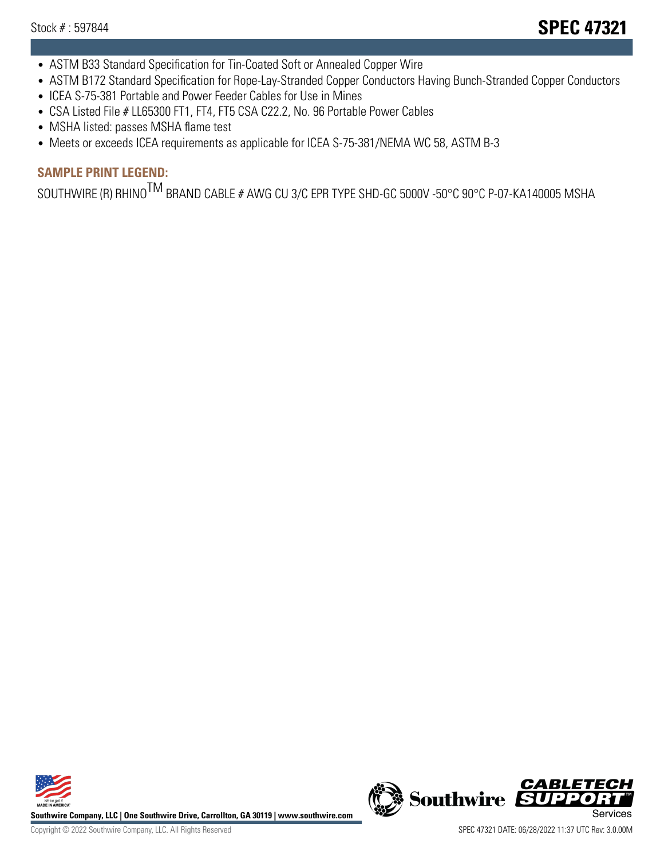- ASTM B33 Standard Specification for Tin-Coated Soft or Annealed Copper Wire
- ASTM B172 Standard Specification for Rope-Lay-Stranded Copper Conductors Having Bunch-Stranded Copper Conductors
- ICEA S-75-381 Portable and Power Feeder Cables for Use in Mines
- CSA Listed File # LL65300 FT1, FT4, FT5 CSA C22.2, No. 96 Portable Power Cables
- MSHA listed: passes MSHA flame test
- Meets or exceeds ICEA requirements as applicable for ICEA S-75-381/NEMA WC 58, ASTM B-3

# **SAMPLE PRINT LEGEND:**

SOUTHWIRE (R) RHINO<sup>TM</sup> BRAND CABLE # AWG CU 3/C EPR TYPE SHD-GC 5000V -50°C 90°C P-07-KA140005 MSHA